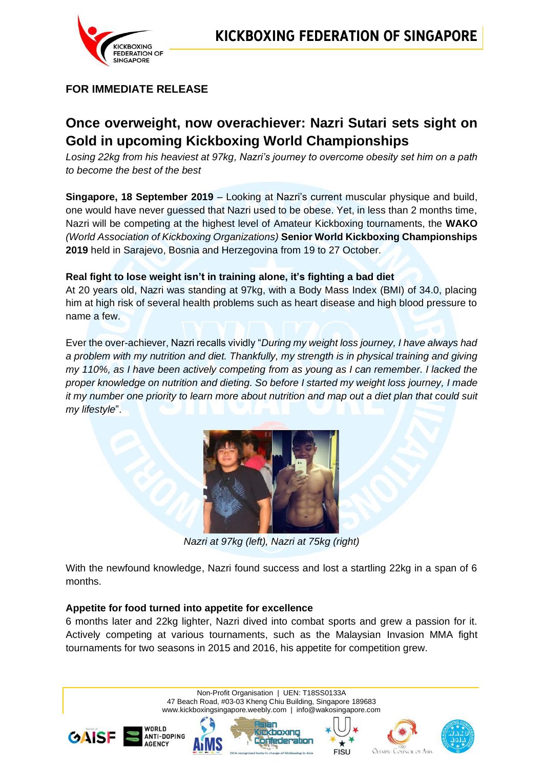

## **FOR IMMEDIATE RELEASE**

# **Once overweight, now overachiever: Nazri Sutari sets sight on Gold in upcoming Kickboxing World Championships**

*Losing 22kg from his heaviest at 97kg, Nazri's journey to overcome obesity set him on a path to become the best of the best*

**Singapore, 18 September 2019** – Looking at Nazri's current muscular physique and build, one would have never guessed that Nazri used to be obese. Yet, in less than 2 months time, Nazri will be competing at the highest level of Amateur Kickboxing tournaments, the **WAKO** *(World Association of Kickboxing Organizations)* **Senior World Kickboxing Championships 2019** held in Sarajevo, Bosnia and Herzegovina from 19 to 27 October.

## **Real fight to lose weight isn't in training alone, it's fighting a bad diet**

At 20 years old, Nazri was standing at 97kg, with a Body Mass Index (BMI) of 34.0, placing him at high risk of several health problems such as heart disease and high blood pressure to name a few.

Ever the over-achiever, Nazri recalls vividly "*During my weight loss journey, I have always had a problem with my nutrition and diet. Thankfully, my strength is in physical training and giving my 110%, as I have been actively competing from as young as I can remember. I lacked the proper knowledge on nutrition and dieting. So before I started my weight loss journey, I made it my number one priority to learn more about nutrition and map out a diet plan that could suit my lifestyle*".



*Nazri at 97kg (left), Nazri at 75kg (right)*

With the newfound knowledge, Nazri found success and lost a startling 22kg in a span of 6 months.

## **Appetite for food turned into appetite for excellence**

6 months later and 22kg lighter, Nazri dived into combat sports and grew a passion for it. Actively competing at various tournaments, such as the Malaysian Invasion MMA fight tournaments for two seasons in 2015 and 2016, his appetite for competition grew.

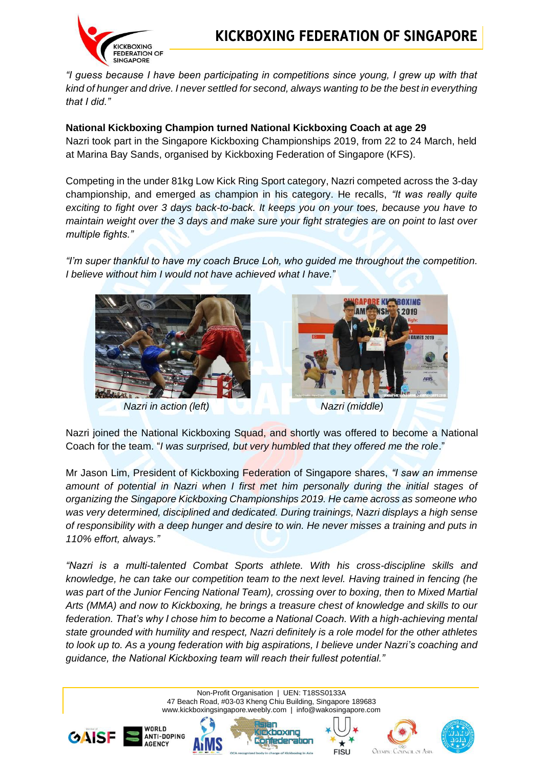

*"I guess because I have been participating in competitions since young, I grew up with that kind of hunger and drive. I never settled for second, always wanting to be the best in everything that I did."*

#### **National Kickboxing Champion turned National Kickboxing Coach at age 29**

Nazri took part in the Singapore Kickboxing Championships 2019, from 22 to 24 March, held at Marina Bay Sands, organised by Kickboxing Federation of Singapore (KFS).

Competing in the under 81kg Low Kick Ring Sport category, Nazri competed across the 3-day championship, and emerged as champion in his category. He recalls, *"It was really quite exciting to fight over 3 days back-to-back. It keeps you on your toes, because you have to maintain weight over the 3 days and make sure your fight strategies are on point to last over multiple fights."*

*"I'm super thankful to have my coach Bruce Loh, who guided me throughout the competition. I believe without him I would not have achieved what I have.*"



*Nazri in action (left) Nazri (middle)*



Nazri joined the National Kickboxing Squad, and shortly was offered to become a National Coach for the team. "*I was surprised, but very humbled that they offered me the role*."

Mr Jason Lim, President of Kickboxing Federation of Singapore shares, *"I saw an immense amount of potential in Nazri when I first met him personally during the initial stages of organizing the Singapore Kickboxing Championships 2019. He came across as someone who was very determined, disciplined and dedicated. During trainings, Nazri displays a high sense of responsibility with a deep hunger and desire to win. He never misses a training and puts in 110% effort, always."*

*"Nazri is a multi-talented Combat Sports athlete. With his cross-discipline skills and knowledge, he can take our competition team to the next level. Having trained in fencing (he was part of the Junior Fencing National Team), crossing over to boxing, then to Mixed Martial Arts (MMA) and now to Kickboxing, he brings a treasure chest of knowledge and skills to our federation. That's why I chose him to become a National Coach. With a high-achieving mental state grounded with humility and respect, Nazri definitely is a role model for the other athletes to look up to. As a young federation with big aspirations, I believe under Nazri's coaching and guidance, the National Kickboxing team will reach their fullest potential."*

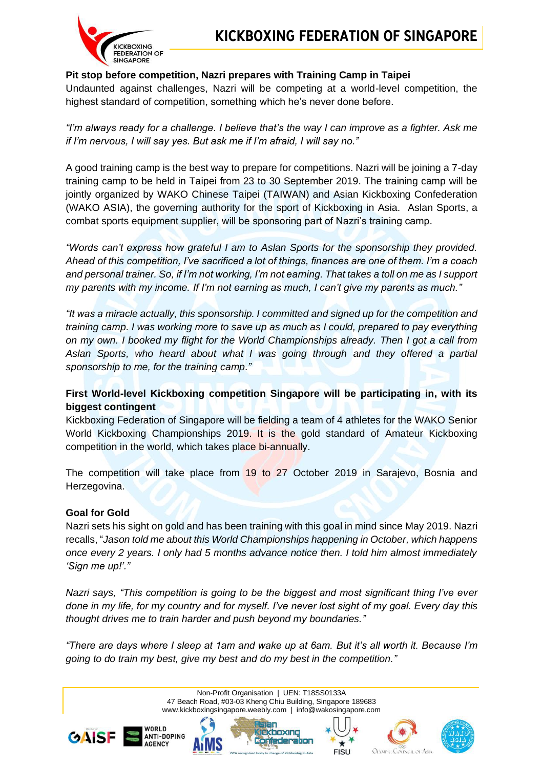## **Pit stop before competition, Nazri prepares with Training Camp in Taipei**

Undaunted against challenges, Nazri will be competing at a world-level competition, the highest standard of competition, something which he's never done before.

*"I'm always ready for a challenge. I believe that's the way I can improve as a fighter. Ask me if I'm nervous, I will say yes. But ask me if I'm afraid, I will say no."*

A good training camp is the best way to prepare for competitions. Nazri will be joining a 7-day training camp to be held in Taipei from 23 to 30 September 2019. The training camp will be jointly organized by WAKO Chinese Taipei (TAIWAN) and Asian Kickboxing Confederation (WAKO ASIA), the governing authority for the sport of Kickboxing in Asia. Aslan Sports, a combat sports equipment supplier, will be sponsoring part of Nazri's training camp.

*"Words can't express how grateful I am to Aslan Sports for the sponsorship they provided. Ahead of this competition, I've sacrificed a lot of things, finances are one of them. I'm a coach and personal trainer. So, if I'm not working, I'm not earning. That takes a toll on me as I support my parents with my income. If I'm not earning as much, I can't give my parents as much."*

*"It was a miracle actually, this sponsorship. I committed and signed up for the competition and training camp. I was working more to save up as much as I could, prepared to pay everything on my own. I booked my flight for the World Championships already. Then I got a call from Aslan Sports, who heard about what I was going through and they offered a partial sponsorship to me, for the training camp."*

## **First World-level Kickboxing competition Singapore will be participating in, with its biggest contingent**

Kickboxing Federation of Singapore will be fielding a team of 4 athletes for the WAKO Senior World Kickboxing Championships 2019. It is the gold standard of Amateur Kickboxing competition in the world, which takes place bi-annually.

The competition will take place from 19 to 27 October 2019 in Sarajevo, Bosnia and Herzegovina.

## **Goal for Gold**

Nazri sets his sight on gold and has been training with this goal in mind since May 2019. Nazri recalls, "*Jason told me about this World Championships happening in October, which happens once every 2 years. I only had 5 months advance notice then. I told him almost immediately 'Sign me up!'."*

*Nazri says, "This competition is going to be the biggest and most significant thing I've ever done in my life, for my country and for myself. I've never lost sight of my goal. Every day this thought drives me to train harder and push beyond my boundaries."*

*"There are days where I sleep at 1am and wake up at 6am. But it's all worth it. Because I'm going to do train my best, give my best and do my best in the competition."*

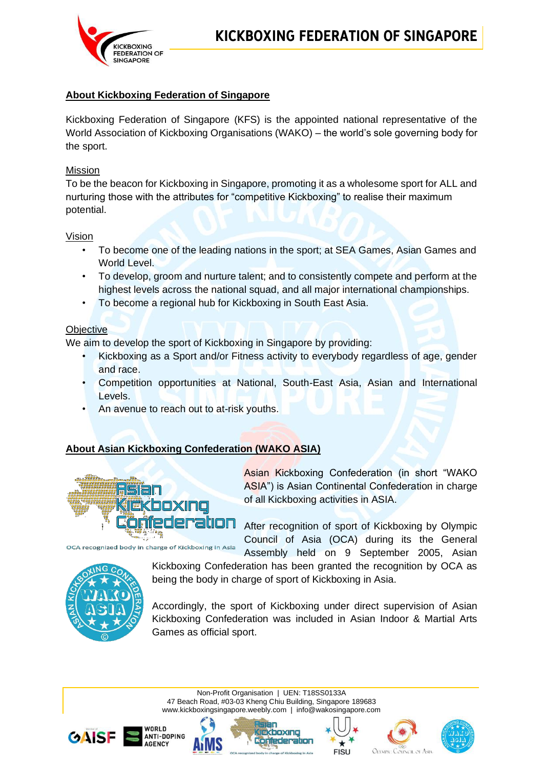

## **About Kickboxing Federation of Singapore**

Kickboxing Federation of Singapore (KFS) is the appointed national representative of the World Association of Kickboxing Organisations (WAKO) – the world's sole governing body for the sport.

#### Mission

To be the beacon for Kickboxing in Singapore, promoting it as a wholesome sport for ALL and nurturing those with the attributes for "competitive Kickboxing" to realise their maximum potential.

#### Vision

- To become one of the leading nations in the sport; at SEA Games, Asian Games and World Level.
- To develop, groom and nurture talent; and to consistently compete and perform at the highest levels across the national squad, and all major international championships.
- To become a regional hub for Kickboxing in South East Asia.

#### **Objective**

We aim to develop the sport of Kickboxing in Singapore by providing:

- Kickboxing as a Sport and/or Fitness activity to everybody regardless of age, gender and race.
- Competition opportunities at National, South-East Asia, Asian and International Levels.
- An avenue to reach out to at-risk youths.

## **About Asian Kickboxing Confederation (WAKO ASIA)**



Asian Kickboxing Confederation (in short "WAKO ASIA") is Asian Continental Confederation in charge of all Kickboxing activities in ASIA.

After recognition of sport of Kickboxing by Olympic Council of Asia (OCA) during its the General Assembly held on 9 September 2005, Asian



Kickboxing Confederation has been granted the recognition by OCA as being the body in charge of sport of Kickboxing in Asia.

Accordingly, the sport of Kickboxing under direct supervision of Asian Kickboxing Confederation was included in Asian Indoor & Martial Arts Games as official sport.

Non-Profit Organisation | UEN: T18SS0133A 47 Beach Road, #03-03 Kheng Chiu Building, Singapore 189683 www.kickboxingsingapore.weebly.com | [info@wakosingapore.com](mailto:info@wakosingapore.com)